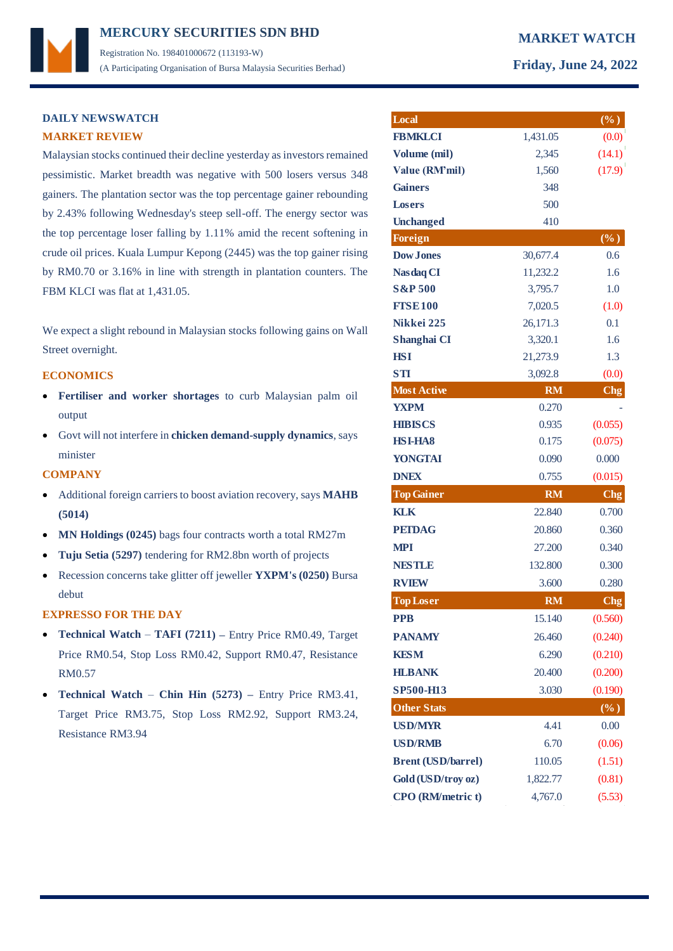## **MERCURY MARKET WATCH SECURITIES SDN BHD**  Registration No. 198401000672 (113193-W) (A Participating Organisation of Bursa Malaysia Securities Berhad) **Friday, June 24, 2022**

## **DAILY NEWSWATCH MARKET REVIEW**

Malaysian stocks continued their decline yesterday as investors remained pessimistic. Market breadth was negative with 500 losers versus 348 gainers. The plantation sector was the top percentage gainer rebounding by 2.43% following Wednesday's steep sell-off. The energy sector was the top percentage loser falling by 1.11% amid the recent softening in crude oil prices. Kuala Lumpur Kepong (2445) was the top gainer rising by RM0.70 or 3.16% in line with strength in plantation counters. The FBM KLCI was flat at 1,431.05.

We expect a slight rebound in Malaysian stocks following gains on Wall Street overnight.

## **ECONOMICS**

- **Fertiliser and worker shortages** to curb Malaysian palm oil output
- Govt will not interfere in **chicken demand-supply dynamics**, says minister

### **COMPANY**

- Additional foreign carriers to boost aviation recovery, says **MAHB (5014)**
- **MN Holdings (0245)** bags four contracts worth a total RM27m
- **Tuju Setia (5297)** tendering for RM2.8bn worth of projects
- Recession concerns take glitter off jeweller **YXPM's (0250)** Bursa debut

### **EXPRESSO FOR THE DAY**

- **Technical Watch TAFI (7211) –** Entry Price RM0.49, Target Price RM0.54, Stop Loss RM0.42, Support RM0.47, Resistance RM0.57
- **Technical Watch Chin Hin (5273) –** Entry Price RM3.41, Target Price RM3.75, Stop Loss RM2.92, Support RM3.24, Resistance RM3.94

| Local                     |           | $(\%)$          |
|---------------------------|-----------|-----------------|
| <b>FBMKLCI</b>            | 1,431.05  | (0.0)           |
| Volume (mil)              | 2,345     | (14.1)          |
| <b>Value (RM'mil)</b>     | 1,560     | (17.9)          |
| <b>Gainers</b>            | 348       |                 |
| Losers                    | 500       |                 |
| <b>Unchanged</b>          | 410       |                 |
| <b>Foreign</b>            |           | $(\%)$          |
| <b>Dow Jones</b>          | 30,677.4  | 0.6             |
| <b>Nasdaq CI</b>          | 11,232.2  | 1.6             |
| <b>S&amp;P 500</b>        | 3,795.7   | 1.0             |
| <b>FTSE100</b>            | 7,020.5   | (1.0)           |
| Nikkei 225                | 26,171.3  | 0.1             |
| Shanghai CI               | 3,320.1   | 1.6             |
| <b>HSI</b>                | 21,273.9  | 1.3             |
| STI                       | 3,092.8   | (0.0)           |
| <b>Most Active</b>        | <b>RM</b> | Chg             |
| <b>YXPM</b>               | 0.270     |                 |
| <b>HIBISCS</b>            | 0.935     | (0.055)         |
| <b>HSI-HA8</b>            | 0.175     | (0.075)         |
| <b>YONGTAI</b>            | 0.090     | 0.000           |
| <b>DNEX</b>               | 0.755     | (0.015)         |
| <b>Top Gainer</b>         | <b>RM</b> | C <sub>ng</sub> |
| <b>KLK</b>                | 22.840    | 0.700           |
| <b>PETDAG</b>             | 20.860    | 0.360           |
| <b>MPI</b>                | 27.200    | 0.340           |
| <b>NESTLE</b>             | 132.800   | 0.300           |
| <b>RVIEW</b>              | 3.600     | 0.280           |
| <b>Top Loser</b>          | <b>RM</b> | Chg             |
| <b>PPB</b>                | 15.140    | (0.560)         |
| <b>PANAMY</b>             | 26.460    | (0.240)         |
| <b>KESM</b>               | 6.290     | (0.210)         |
| <b>HLBANK</b>             | 20.400    | (0.200)         |
| SP500-H13                 | 3.030     | (0.190)         |
| <b>Other Stats</b>        |           | $(\%)$          |
| <b>USD/MYR</b>            | 4.41      | 0.00            |
| <b>USD/RMB</b>            | 6.70      | (0.06)          |
| <b>Brent (USD/barrel)</b> | 110.05    | (1.51)          |
| Gold (USD/troy oz)        | 1,822.77  | (0.81)          |
| CPO (RM/metric t)         | 4,767.0   | (5.53)          |
|                           |           |                 |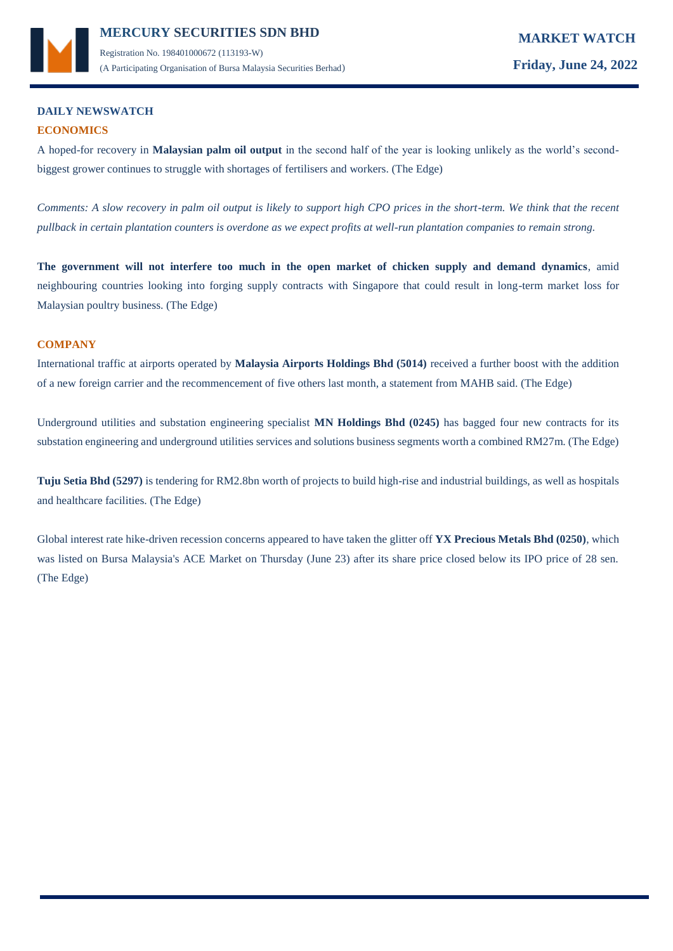

## **DAILY NEWSWATCH ECONOMICS**

A hoped-for recovery in **Malaysian palm oil output** in the second half of the year is looking unlikely as the world's secondbiggest grower continues to struggle with shortages of fertilisers and workers. (The Edge)

*Comments: A slow recovery in palm oil output is likely to support high CPO prices in the short-term. We think that the recent pullback in certain plantation counters is overdone as we expect profits at well-run plantation companies to remain strong.* 

**The government will not interfere too much in the open market of chicken supply and demand dynamics**, amid neighbouring countries looking into forging supply contracts with Singapore that could result in long-term market loss for Malaysian poultry business. (The Edge)

## **COMPANY**

International traffic at airports operated by **Malaysia Airports Holdings Bhd (5014)** received a further boost with the addition of a new foreign carrier and the recommencement of five others last month, a statement from MAHB said. (The Edge)

Underground utilities and substation engineering specialist **MN Holdings Bhd (0245)** has bagged four new contracts for its substation engineering and underground utilities services and solutions business segments worth a combined RM27m. (The Edge)

**Tuju Setia Bhd (5297)** is tendering for RM2.8bn worth of projects to build high-rise and industrial buildings, as well as hospitals and healthcare facilities. (The Edge)

Global interest rate hike-driven recession concerns appeared to have taken the glitter off **YX Precious Metals Bhd (0250)**, which was listed on Bursa Malaysia's ACE Market on Thursday (June 23) after its share price closed below its IPO price of 28 sen. (The Edge)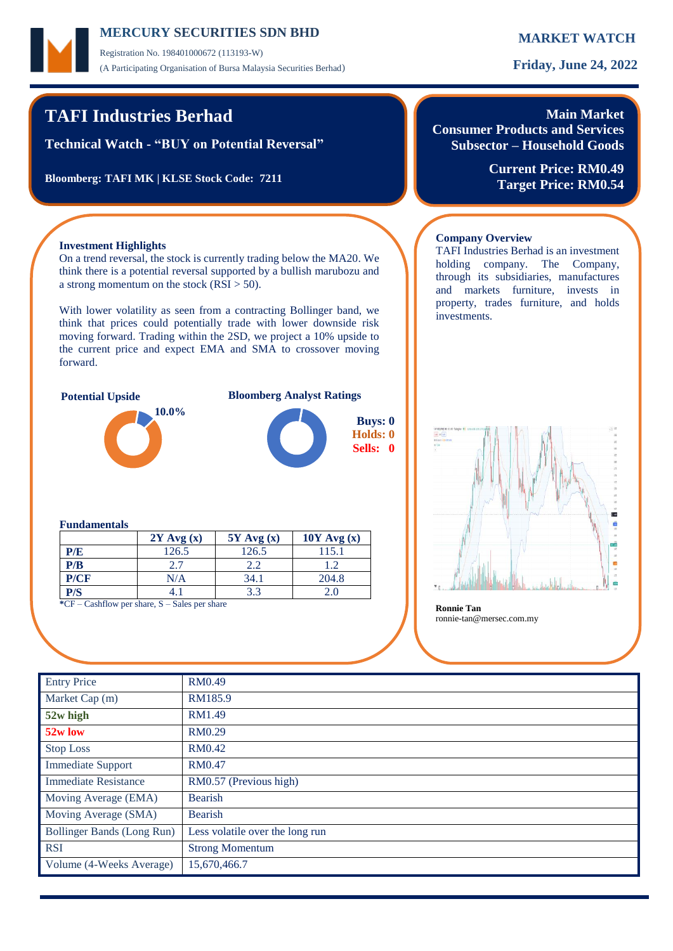## **MERCURY MARKET WATCH SECURITIES SDN BHD**

Registration No. 198401000672 (113193-W) (A Participating Organisation of Bursa Malaysia Securities Berhad) **Friday, June 24, 2022**

## **TAFI Industries Berhad**

**Technical Watch - "BUY on Potential Reversal"**

**Bloomberg: TAFI MK | KLSE Stock Code: 7211**

# **Main Market**

**Consumer Products and Services Subsector – Household Goods**

TAFI Industries Berhad is an investment holding company. The Company, through its subsidiaries, manufactures and markets furniture, invests in property, trades furniture, and holds

**Company Overview**

investments.

**Current Price: RM0.49 Target Price: RM0.54**

## **Investment Highlights**

On a trend reversal, the stock is currently trading below the MA20. We think there is a potential reversal supported by a bullish marubozu and a strong momentum on the stock  $(RSI > 50)$ .

With lower volatility as seen from a contracting Bollinger band, we think that prices could potentially trade with lower downside risk moving forward. Trading within the 2SD, we project a 10% upside to the current price and expect EMA and SMA to crossover moving forward.



**Potential Upside Bloomberg Analyst Ratings**



### **Fundamentals**

|      | $2Y$ Avg $(x)$ | $5Y$ Avg $(x)$ | $10Y$ Avg $(x)$ |
|------|----------------|----------------|-----------------|
| P/E  | 126.5          | 126.5          | 115.1           |
| P/B  | 2.7            | 2.2            | 1.2             |
| P/CF | N/A            | 34.1           | 204.8           |
| P/S  |                | 3.3            | 2.0             |

**\***CF – Cashflow per share, S – Sales per share **Ronnie Tan**



ronnie-tan@mersec.com.my

| <b>Entry Price</b>          | <b>RM0.49</b>                   |
|-----------------------------|---------------------------------|
| Market Cap (m)              | RM185.9                         |
| 52w high                    | RM1.49                          |
| 52w low                     | RM0.29                          |
| <b>Stop Loss</b>            | <b>RM0.42</b>                   |
| <b>Immediate Support</b>    | RM0.47                          |
| <b>Immediate Resistance</b> | RM0.57 (Previous high)          |
| Moving Average (EMA)        | <b>Bearish</b>                  |
| Moving Average (SMA)        | Bearish                         |
| Bollinger Bands (Long Run)  | Less volatile over the long run |
| <b>RSI</b>                  | <b>Strong Momentum</b>          |
| Volume (4-Weeks Average)    | 15,670,466.7                    |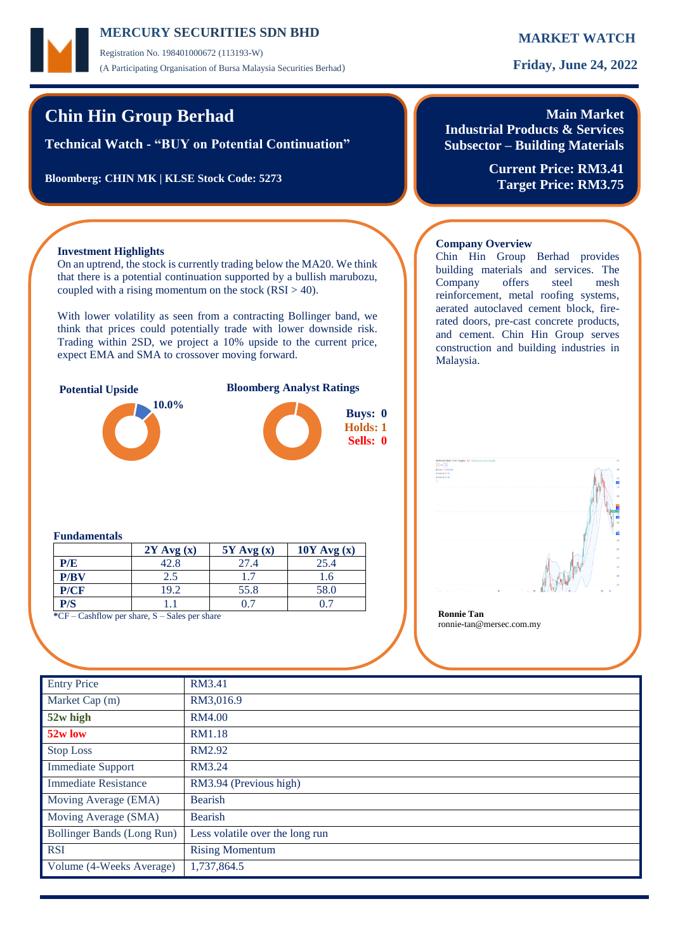## **MERCURY MARKET WATCH SECURITIES SDN BHD**

Registration No. 198401000672 (113193-W) (A Participating Organisation of Bursa Malaysia Securities Berhad) **Friday, June 24, 2022**

# **Chin Hin Group Berhad**

**Technical Watch - "BUY on Potential Continuation"**

**Bloomberg: CHIN MK | KLSE Stock Code: 5273**

## **Main Market Industrial Products & Services Subsector – Building Materials**

Chin Hin Group Berhad provides building materials and services. The Company offers steel mesh reinforcement, metal roofing systems, aerated autoclaved cement block, firerated doors, pre-cast concrete products, and cement. Chin Hin Group serves construction and building industries in

**Current Price: RM3.41 Target Price: RM3.75**

## **Investment Highlights**

On an uptrend, the stock is currently trading below the MA20. We think that there is a potential continuation supported by a bullish marubozu, coupled with a rising momentum on the stock  $(RSI > 40)$ .

With lower volatility as seen from a contracting Bollinger band, we think that prices could potentially trade with lower downside risk. Trading within 2SD, we project a 10% upside to the current price, expect EMA and SMA to crossover moving forward.



### **Fundamentals**

|      | $2Y$ Avg $(x)$ | $5Y$ Avg $(x)$ | $10Y$ Avg $(x)$ |
|------|----------------|----------------|-----------------|
| P/E  | 42.8           | 27.4           | 25.4            |
| P/BV | 2.5            |                | .6              |
| P/CF | 19.2           | 55.8           | 58.0            |
| P/S  |                |                |                 |

**\***CF – Cashflow per share, S – Sales per share **Ronnie Tan**



ronnie-tan@mersec.com.my

**Company Overview**

Malaysia.

| <b>Entry Price</b>          | RM3.41                          |
|-----------------------------|---------------------------------|
| Market Cap (m)              | RM3,016.9                       |
| 52w high                    | <b>RM4.00</b>                   |
| 52w low                     | <b>RM1.18</b>                   |
| <b>Stop Loss</b>            | RM2.92                          |
| <b>Immediate Support</b>    | RM3.24                          |
| <b>Immediate Resistance</b> | RM3.94 (Previous high)          |
| Moving Average (EMA)        | <b>Bearish</b>                  |
| Moving Average (SMA)        | <b>Bearish</b>                  |
| Bollinger Bands (Long Run)  | Less volatile over the long run |
| <b>RSI</b>                  | <b>Rising Momentum</b>          |
| Volume (4-Weeks Average)    | 1,737,864.5                     |
|                             |                                 |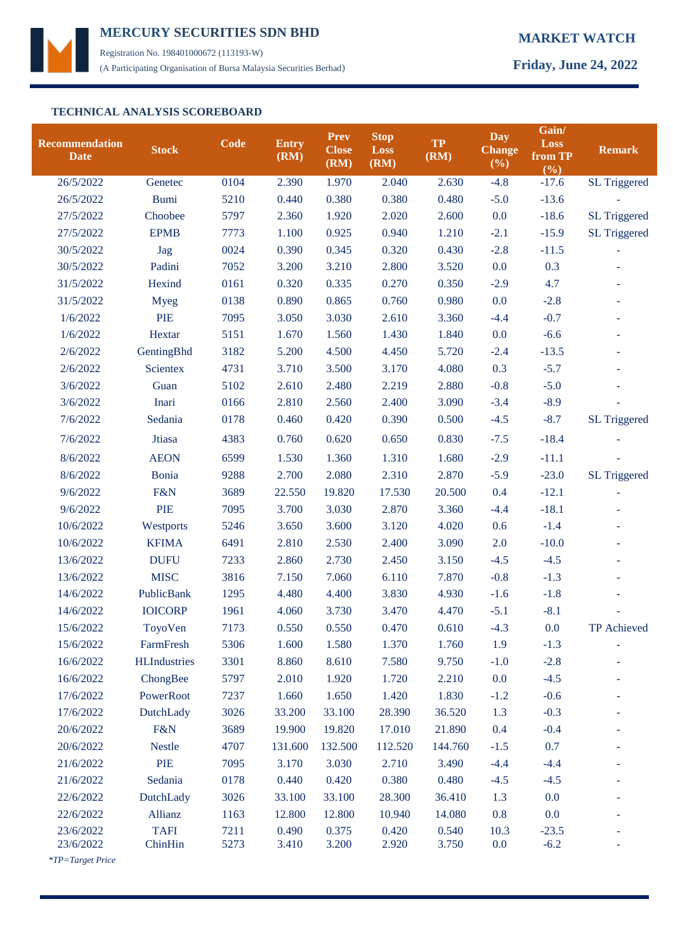

Registration No. 198401000672 (113193-W) (A Participating Organisation of Bursa Malaysia Securities Berhad) **Friday, June 24, 2022**

## **TECHNICAL ANALYSIS SCOREBOARD**

| <b>Recommendation</b><br><b>Date</b> | <b>Stock</b>           | <b>Code</b>  | <b>Entry</b><br>(RM) | <b>Prev</b><br><b>Close</b><br>(RM) | <b>Stop</b><br><b>Loss</b><br>(RM) | <b>TP</b><br>(RM) | Day<br><b>Change</b><br>$(\frac{6}{6})$ | Gain/<br><b>Loss</b><br>from TP<br>(%) | <b>Remark</b>       |
|--------------------------------------|------------------------|--------------|----------------------|-------------------------------------|------------------------------------|-------------------|-----------------------------------------|----------------------------------------|---------------------|
| 26/5/2022                            | Genetec                | 0104         | 2.390                | 1.970                               | 2.040                              | 2.630             | $-4.8$                                  | $-17.6$                                | <b>SL Triggered</b> |
| 26/5/2022                            | <b>Bumi</b>            | 5210         | 0.440                | 0.380                               | 0.380                              | 0.480             | $-5.0$                                  | $-13.6$                                |                     |
| 27/5/2022                            | Choobee                | 5797         | 2.360                | 1.920                               | 2.020                              | 2.600             | 0.0                                     | $-18.6$                                | <b>SL Triggered</b> |
| 27/5/2022                            | <b>EPMB</b>            | 7773         | 1.100                | 0.925                               | 0.940                              | 1.210             | $-2.1$                                  | $-15.9$                                | <b>SL Triggered</b> |
| 30/5/2022                            | Jag                    | 0024         | 0.390                | 0.345                               | 0.320                              | 0.430             | $-2.8$                                  | $-11.5$                                |                     |
| 30/5/2022                            | Padini                 | 7052         | 3.200                | 3.210                               | 2.800                              | 3.520             | 0.0                                     | 0.3                                    |                     |
| 31/5/2022                            | Hexind                 | 0161         | 0.320                | 0.335                               | 0.270                              | 0.350             | $-2.9$                                  | 4.7                                    | ÷,                  |
| 31/5/2022                            | <b>Myeg</b>            | 0138         | 0.890                | 0.865                               | 0.760                              | 0.980             | 0.0                                     | $-2.8$                                 |                     |
| 1/6/2022                             | <b>PIE</b>             | 7095         | 3.050                | 3.030                               | 2.610                              | 3.360             | $-4.4$                                  | $-0.7$                                 | ÷,                  |
| 1/6/2022                             | Hextar                 | 5151         | 1.670                | 1.560                               | 1.430                              | 1.840             | 0.0                                     | $-6.6$                                 |                     |
| 2/6/2022                             | GentingBhd             | 3182         | 5.200                | 4.500                               | 4.450                              | 5.720             | $-2.4$                                  | $-13.5$                                |                     |
| 2/6/2022                             | <b>Scientex</b>        | 4731         | 3.710                | 3.500                               | 3.170                              | 4.080             | 0.3                                     | $-5.7$                                 |                     |
| 3/6/2022                             | Guan                   | 5102         | 2.610                | 2.480                               | 2.219                              | 2.880             | $-0.8$                                  | $-5.0$                                 |                     |
| 3/6/2022                             | Inari                  | 0166         | 2.810                | 2.560                               | 2.400                              | 3.090             | $-3.4$                                  | $-8.9$                                 |                     |
| 7/6/2022                             | Sedania                | 0178         | 0.460                | 0.420                               | 0.390                              | 0.500             | $-4.5$                                  | $-8.7$                                 | SL Triggered        |
| 7/6/2022                             | Jtiasa                 | 4383         | 0.760                | 0.620                               | 0.650                              | 0.830             | $-7.5$                                  | $-18.4$                                |                     |
| 8/6/2022                             | <b>AEON</b>            | 6599         | 1.530                | 1.360                               | 1.310                              | 1.680             | $-2.9$                                  | $-11.1$                                |                     |
| 8/6/2022                             | <b>Bonia</b>           | 9288         | 2.700                | 2.080                               | 2.310                              | 2.870             | $-5.9$                                  | $-23.0$                                | <b>SL Triggered</b> |
| 9/6/2022                             | F&N                    | 3689         | 22.550               | 19.820                              | 17.530                             | 20.500            | 0.4                                     | $-12.1$                                |                     |
| 9/6/2022                             | <b>PIE</b>             | 7095         | 3.700                | 3.030                               | 2.870                              | 3.360             | $-4.4$                                  | $-18.1$                                |                     |
| 10/6/2022                            | Westports              | 5246         | 3.650                | 3.600                               | 3.120                              | 4.020             | 0.6                                     | $-1.4$                                 |                     |
| 10/6/2022                            | <b>KFIMA</b>           | 6491         | 2.810                | 2.530                               | 2.400                              | 3.090             | 2.0                                     | $-10.0$                                |                     |
| 13/6/2022                            | <b>DUFU</b>            | 7233         | 2.860                | 2.730                               | 2.450                              | 3.150             | $-4.5$                                  | $-4.5$                                 |                     |
| 13/6/2022                            | <b>MISC</b>            | 3816         | 7.150                | 7.060                               | 6.110                              | 7.870             | $-0.8$                                  | $-1.3$                                 |                     |
| 14/6/2022                            | PublicBank             | 1295         | 4.480                | 4.400                               | 3.830                              | 4.930             | $-1.6$                                  | $-1.8$                                 |                     |
| 14/6/2022                            | <b>IOICORP</b>         | 1961         | 4.060                | 3.730                               | 3.470                              | 4.470             | $-5.1$                                  | $-8.1$                                 |                     |
| 15/6/2022                            | ToyoVen                | 7173         | 0.550                | 0.550                               | 0.470                              | 0.610             | $-4.3$                                  | 0.0                                    | TP Achieved         |
| 15/6/2022                            | FarmFresh              | 5306         | 1.600                | 1.580                               | 1.370                              | 1.760             | 1.9                                     | $-1.3$                                 |                     |
| 16/6/2022                            | <b>HLIndustries</b>    | 3301         | 8.860                | 8.610                               | 7.580                              | 9.750             | $-1.0$                                  | $-2.8$                                 |                     |
| 16/6/2022                            | ChongBee               | 5797         | 2.010                | 1.920                               | 1.720                              | 2.210             | 0.0                                     | $-4.5$                                 |                     |
| 17/6/2022                            | PowerRoot              | 7237         | 1.660                | 1.650                               | 1.420                              | 1.830             | $-1.2$                                  | $-0.6$                                 |                     |
| 17/6/2022                            | DutchLady              | 3026         | 33.200               | 33.100                              | 28.390                             | 36.520            | 1.3                                     | $-0.3$                                 |                     |
| 20/6/2022                            | F&N                    | 3689         | 19.900               | 19.820                              | 17.010                             | 21.890            | 0.4                                     | $-0.4$                                 |                     |
| 20/6/2022                            | <b>Nestle</b>          | 4707         | 131.600              | 132.500                             | 112.520                            | 144.760           | $-1.5$                                  | 0.7                                    |                     |
| 21/6/2022                            | PIE                    | 7095         | 3.170                | 3.030                               | 2.710                              | 3.490             | $-4.4$                                  | $-4.4$                                 |                     |
| 21/6/2022                            | Sedania                | 0178         | 0.440                | 0.420                               | 0.380                              | 0.480             | $-4.5$                                  | $-4.5$                                 |                     |
| 22/6/2022                            | DutchLady              | 3026         | 33.100               | 33.100                              | 28.300                             | 36.410            | 1.3                                     | 0.0                                    |                     |
| 22/6/2022                            | Allianz                | 1163         | 12.800               | 12.800                              | 10.940                             | 14.080            | 0.8                                     | 0.0                                    |                     |
| 23/6/2022<br>23/6/2022               | <b>TAFI</b><br>ChinHin | 7211<br>5273 | 0.490<br>3.410       | 0.375<br>3.200                      | 0.420<br>2.920                     | 0.540<br>3.750    | 10.3<br>0.0                             | $-23.5$<br>$-6.2$                      |                     |

 *\*TP=Target Price*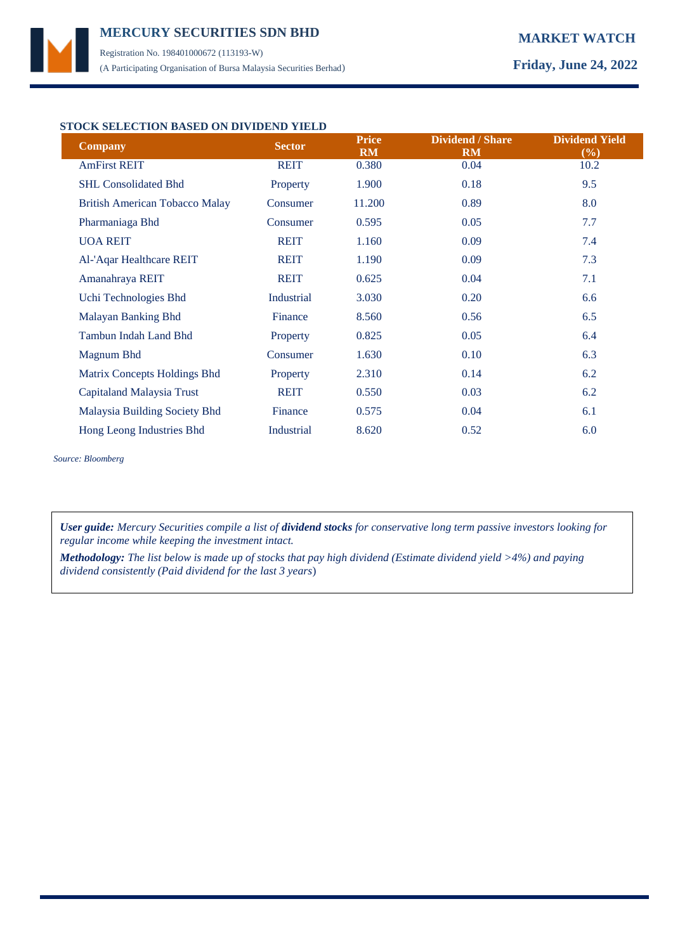## **MERCURY MARKET WATCH SECURITIES SDN BHD**  Registration No. 198401000672 (113193-W)

(A Participating Organisation of Bursa Malaysia Securities Berhad) **Friday, June 24, 2022**

## **STOCK SELECTION BASED ON DIVIDEND YIELD**

| <b>Company</b>                        | <b>Sector</b> | <b>Price</b><br><b>RM</b> | <b>Dividend / Share</b><br><b>RM</b> | <b>Dividend Yield</b><br>$(\%)$ |
|---------------------------------------|---------------|---------------------------|--------------------------------------|---------------------------------|
| <b>AmFirst REIT</b>                   | <b>REIT</b>   | 0.380                     | 0.04                                 | 10.2                            |
| <b>SHL Consolidated Bhd</b>           | Property      | 1.900                     | 0.18                                 | 9.5                             |
| <b>British American Tobacco Malay</b> | Consumer      | 11.200                    | 0.89                                 | 8.0                             |
| Pharmaniaga Bhd                       | Consumer      | 0.595                     | 0.05                                 | 7.7                             |
| <b>UOA REIT</b>                       | <b>REIT</b>   | 1.160                     | 0.09                                 | 7.4                             |
| Al-'Aqar Healthcare REIT              | <b>REIT</b>   | 1.190                     | 0.09                                 | 7.3                             |
| Amanahraya REIT                       | <b>REIT</b>   | 0.625                     | 0.04                                 | 7.1                             |
| Uchi Technologies Bhd                 | Industrial    | 3.030                     | 0.20                                 | 6.6                             |
| Malayan Banking Bhd                   | Finance       | 8.560                     | 0.56                                 | 6.5                             |
| Tambun Indah Land Bhd                 | Property      | 0.825                     | 0.05                                 | 6.4                             |
| Magnum Bhd                            | Consumer      | 1.630                     | 0.10                                 | 6.3                             |
| Matrix Concepts Holdings Bhd          | Property      | 2.310                     | 0.14                                 | 6.2                             |
| Capitaland Malaysia Trust             | <b>REIT</b>   | 0.550                     | 0.03                                 | 6.2                             |
| Malaysia Building Society Bhd         | Finance       | 0.575                     | 0.04                                 | 6.1                             |
| Hong Leong Industries Bhd             | Industrial    | 8.620                     | 0.52                                 | 6.0                             |

*Source: Bloomberg*

*User guide: Mercury Securities compile a list of dividend stocks for conservative long term passive investors looking for regular income while keeping the investment intact.*

*Methodology: The list below is made up of stocks that pay high dividend (Estimate dividend yield >4%) and paying dividend consistently (Paid dividend for the last 3 years*)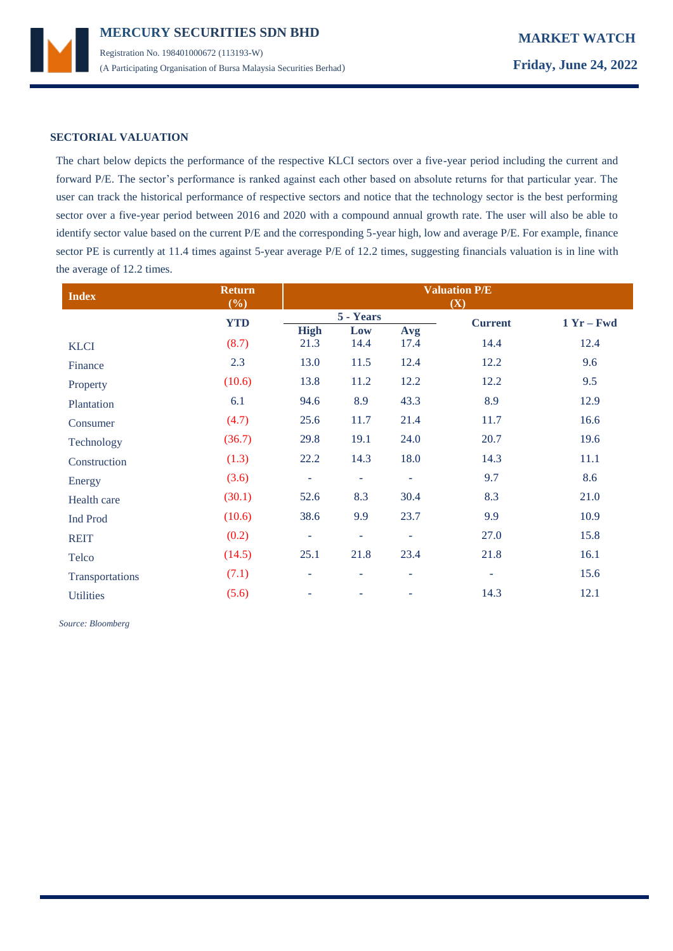

### **SECTORIAL VALUATION**

The chart below depicts the performance of the respective KLCI sectors over a five-year period including the current and forward P/E. The sector's performance is ranked against each other based on absolute returns for that particular year. The user can track the historical performance of respective sectors and notice that the technology sector is the best performing sector over a five-year period between 2016 and 2020 with a compound annual growth rate. The user will also be able to identify sector value based on the current P/E and the corresponding 5-year high, low and average P/E. For example, finance sector PE is currently at 11.4 times against 5-year average P/E of 12.2 times, suggesting financials valuation is in line with the average of 12.2 times.

| <b>Index</b>     | <b>Return</b><br>(%) | <b>Valuation P/E</b><br>(X) |                          |                |                |              |  |
|------------------|----------------------|-----------------------------|--------------------------|----------------|----------------|--------------|--|
|                  | <b>YTD</b>           | 5 - Years                   |                          |                | <b>Current</b> | $1 Yr - Fwd$ |  |
|                  |                      | <b>High</b>                 | Low                      | Avg            |                |              |  |
| <b>KLCI</b>      | (8.7)                | 21.3                        | 14.4                     | 17.4           | 14.4           | 12.4         |  |
| Finance          | 2.3                  | 13.0                        | 11.5                     | 12.4           | 12.2           | 9.6          |  |
| Property         | (10.6)               | 13.8                        | 11.2                     | 12.2           | 12.2           | 9.5          |  |
| Plantation       | 6.1                  | 94.6                        | 8.9                      | 43.3           | 8.9            | 12.9         |  |
| Consumer         | (4.7)                | 25.6                        | 11.7                     | 21.4           | 11.7           | 16.6         |  |
| Technology       | (36.7)               | 29.8                        | 19.1                     | 24.0           | 20.7           | 19.6         |  |
| Construction     | (1.3)                | 22.2                        | 14.3                     | 18.0           | 14.3           | 11.1         |  |
| Energy           | (3.6)                | $\overline{\phantom{a}}$    | $\overline{\phantom{a}}$ | $\blacksquare$ | 9.7            | 8.6          |  |
| Health care      | (30.1)               | 52.6                        | 8.3                      | 30.4           | 8.3            | 21.0         |  |
| Ind Prod         | (10.6)               | 38.6                        | 9.9                      | 23.7           | 9.9            | 10.9         |  |
| <b>REIT</b>      | (0.2)                | ٠                           | ÷                        | ٠              | 27.0           | 15.8         |  |
| Telco            | (14.5)               | 25.1                        | 21.8                     | 23.4           | 21.8           | 16.1         |  |
| Transportations  | (7.1)                | ÷                           | ٠                        | ÷              | $\blacksquare$ | 15.6         |  |
| <b>Utilities</b> | (5.6)                | ۰                           |                          | ۰              | 14.3           | 12.1         |  |

 *Source: Bloomberg*